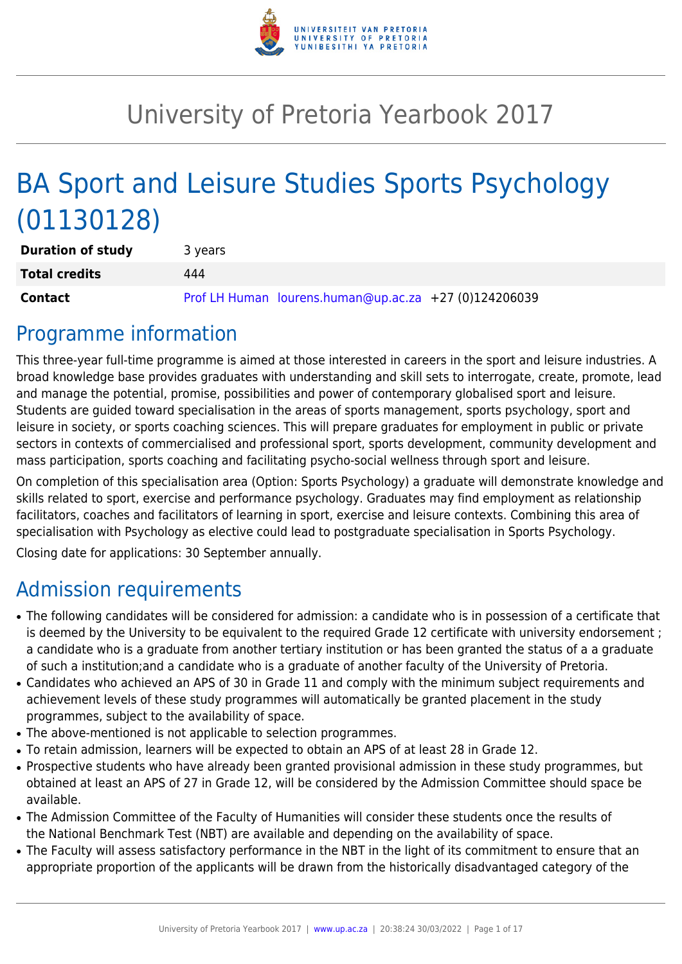

# University of Pretoria Yearbook 2017

# BA Sport and Leisure Studies Sports Psychology (01130128)

| <b>Duration of study</b> | 3 years |                                                       |  |
|--------------------------|---------|-------------------------------------------------------|--|
| <b>Total credits</b>     | 444     |                                                       |  |
| Contact                  |         | Prof LH Human lourens.human@up.ac.za +27 (0)124206039 |  |

## Programme information

This three-year full-time programme is aimed at those interested in careers in the sport and leisure industries. A broad knowledge base provides graduates with understanding and skill sets to interrogate, create, promote, lead and manage the potential, promise, possibilities and power of contemporary globalised sport and leisure. Students are guided toward specialisation in the areas of sports management, sports psychology, sport and leisure in society, or sports coaching sciences. This will prepare graduates for employment in public or private sectors in contexts of commercialised and professional sport, sports development, community development and mass participation, sports coaching and facilitating psycho-social wellness through sport and leisure.

On completion of this specialisation area (Option: Sports Psychology) a graduate will demonstrate knowledge and skills related to sport, exercise and performance psychology. Graduates may find employment as relationship facilitators, coaches and facilitators of learning in sport, exercise and leisure contexts. Combining this area of specialisation with Psychology as elective could lead to postgraduate specialisation in Sports Psychology.

Closing date for applications: 30 September annually.

## Admission requirements

- The following candidates will be considered for admission: a candidate who is in possession of a certificate that is deemed by the University to be equivalent to the required Grade 12 certificate with university endorsement ; a candidate who is a graduate from another tertiary institution or has been granted the status of a a graduate of such a institution;and a candidate who is a graduate of another faculty of the University of Pretoria.
- Candidates who achieved an APS of 30 in Grade 11 and comply with the minimum subject requirements and achievement levels of these study programmes will automatically be granted placement in the study programmes, subject to the availability of space.
- The above-mentioned is not applicable to selection programmes.
- To retain admission, learners will be expected to obtain an APS of at least 28 in Grade 12.
- Prospective students who have already been granted provisional admission in these study programmes, but obtained at least an APS of 27 in Grade 12, will be considered by the Admission Committee should space be available.
- The Admission Committee of the Faculty of Humanities will consider these students once the results of the National Benchmark Test (NBT) are available and depending on the availability of space.
- The Faculty will assess satisfactory performance in the NBT in the light of its commitment to ensure that an appropriate proportion of the applicants will be drawn from the historically disadvantaged category of the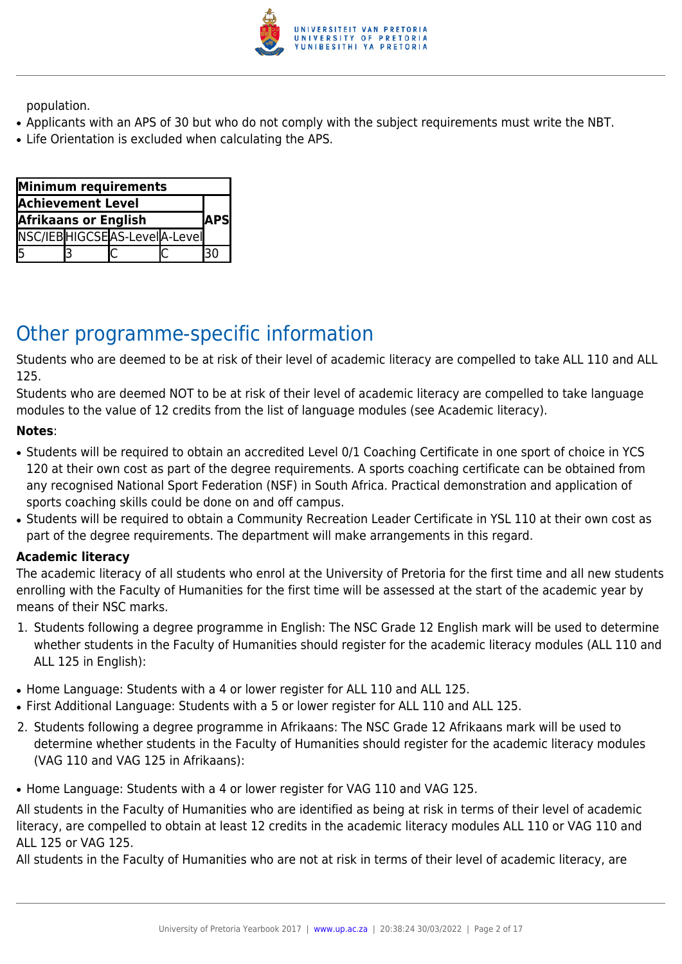

population.

- Applicants with an APS of 30 but who do not comply with the subject requirements must write the NBT.
- Life Orientation is excluded when calculating the APS.

| Minimum requirements        |  |                              |              |  |
|-----------------------------|--|------------------------------|--------------|--|
| <b>Achievement Level</b>    |  |                              |              |  |
| <b>Afrikaans or English</b> |  |                              | <b>IAPSI</b> |  |
|                             |  | NSC/IEBHIGCSEAS-LevelA-Level |              |  |
|                             |  |                              |              |  |

## Other programme-specific information

Students who are deemed to be at risk of their level of academic literacy are compelled to take ALL 110 and ALL 125.

Students who are deemed NOT to be at risk of their level of academic literacy are compelled to take language modules to the value of 12 credits from the list of language modules (see Academic literacy).

#### **Notes**:

- Students will be required to obtain an accredited Level 0/1 Coaching Certificate in one sport of choice in YCS 120 at their own cost as part of the degree requirements. A sports coaching certificate can be obtained from any recognised National Sport Federation (NSF) in South Africa. Practical demonstration and application of sports coaching skills could be done on and off campus.
- Students will be required to obtain a Community Recreation Leader Certificate in YSL 110 at their own cost as part of the degree requirements. The department will make arrangements in this regard.

#### **Academic literacy**

The academic literacy of all students who enrol at the University of Pretoria for the first time and all new students enrolling with the Faculty of Humanities for the first time will be assessed at the start of the academic year by means of their NSC marks.

- 1. Students following a degree programme in English: The NSC Grade 12 English mark will be used to determine whether students in the Faculty of Humanities should register for the academic literacy modules (ALL 110 and ALL 125 in English):
- Home Language: Students with a 4 or lower register for ALL 110 and ALL 125.
- First Additional Language: Students with a 5 or lower register for ALL 110 and ALL 125.
- 2. Students following a degree programme in Afrikaans: The NSC Grade 12 Afrikaans mark will be used to determine whether students in the Faculty of Humanities should register for the academic literacy modules (VAG 110 and VAG 125 in Afrikaans):
- Home Language: Students with a 4 or lower register for VAG 110 and VAG 125.

All students in the Faculty of Humanities who are identified as being at risk in terms of their level of academic literacy, are compelled to obtain at least 12 credits in the academic literacy modules ALL 110 or VAG 110 and ALL 125 or VAG 125.

All students in the Faculty of Humanities who are not at risk in terms of their level of academic literacy, are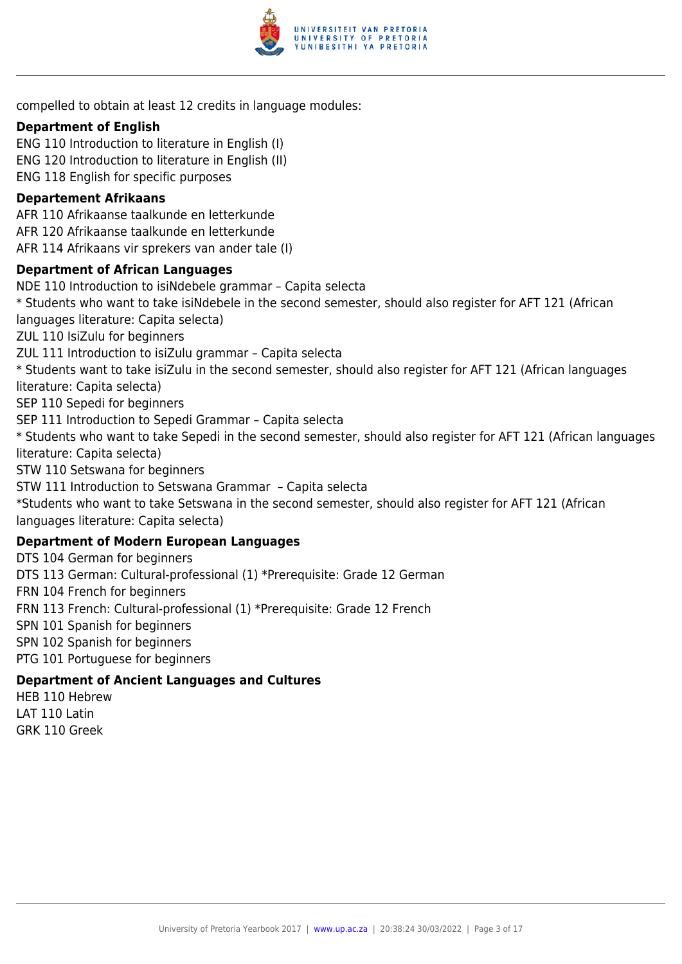

compelled to obtain at least 12 credits in language modules:

#### **Department of English**

ENG 110 Introduction to literature in English (I) ENG 120 Introduction to literature in English (II) ENG 118 English for specific purposes

#### **Departement Afrikaans**

AFR 110 Afrikaanse taalkunde en letterkunde AFR 120 Afrikaanse taalkunde en letterkunde AFR 114 Afrikaans vir sprekers van ander tale (I)

#### **Department of African Languages**

NDE 110 Introduction to isiNdebele grammar – Capita selecta \* Students who want to take isiNdebele in the second semester, should also register for AFT 121 (African languages literature: Capita selecta) ZUL 110 IsiZulu for beginners ZUL 111 Introduction to isiZulu grammar – Capita selecta \* Students want to take isiZulu in the second semester, should also register for AFT 121 (African languages literature: Capita selecta) SEP 110 Sepedi for beginners SEP 111 Introduction to Sepedi Grammar – Capita selecta \* Students who want to take Sepedi in the second semester, should also register for AFT 121 (African languages literature: Capita selecta) STW 110 Setswana for beginners STW 111 Introduction to Setswana Grammar – Capita selecta \*Students who want to take Setswana in the second semester, should also register for AFT 121 (African languages literature: Capita selecta) **Department of Modern European Languages** DTS 104 German for beginners DTS 113 German: Cultural-professional (1) \*Prerequisite: Grade 12 German FRN 104 French for beginners

FRN 113 French: Cultural-professional (1) \*Prerequisite: Grade 12 French

SPN 101 Spanish for beginners

SPN 102 Spanish for beginners

PTG 101 Portuguese for beginners

#### **Department of Ancient Languages and Cultures**

HEB 110 Hebrew LAT 110 Latin GRK 110 Greek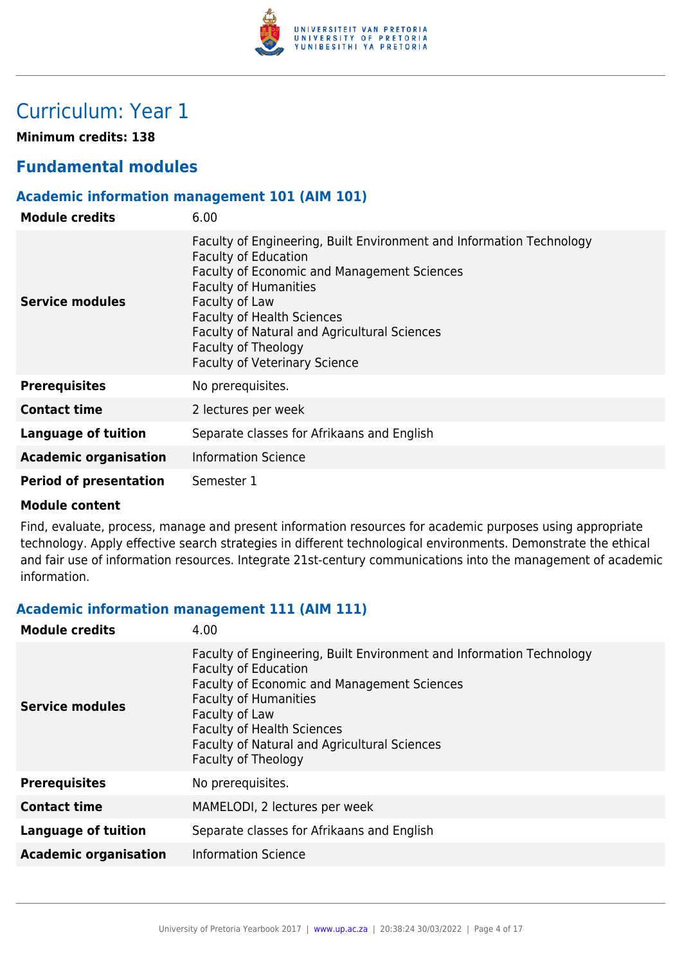

## Curriculum: Year 1

**Minimum credits: 138**

## **Fundamental modules**

#### **Academic information management 101 (AIM 101)**

| <b>Module credits</b>         | 6.00                                                                                                                                                                                                                                                                                                                                                     |
|-------------------------------|----------------------------------------------------------------------------------------------------------------------------------------------------------------------------------------------------------------------------------------------------------------------------------------------------------------------------------------------------------|
| Service modules               | Faculty of Engineering, Built Environment and Information Technology<br><b>Faculty of Education</b><br>Faculty of Economic and Management Sciences<br><b>Faculty of Humanities</b><br>Faculty of Law<br><b>Faculty of Health Sciences</b><br>Faculty of Natural and Agricultural Sciences<br>Faculty of Theology<br><b>Faculty of Veterinary Science</b> |
| <b>Prerequisites</b>          | No prerequisites.                                                                                                                                                                                                                                                                                                                                        |
| <b>Contact time</b>           | 2 lectures per week                                                                                                                                                                                                                                                                                                                                      |
| <b>Language of tuition</b>    | Separate classes for Afrikaans and English                                                                                                                                                                                                                                                                                                               |
| <b>Academic organisation</b>  | <b>Information Science</b>                                                                                                                                                                                                                                                                                                                               |
| <b>Period of presentation</b> | Semester 1                                                                                                                                                                                                                                                                                                                                               |

#### **Module content**

Find, evaluate, process, manage and present information resources for academic purposes using appropriate technology. Apply effective search strategies in different technological environments. Demonstrate the ethical and fair use of information resources. Integrate 21st-century communications into the management of academic information.

#### **Academic information management 111 (AIM 111)**

| Faculty of Engineering, Built Environment and Information Technology                                                                                                                                                                                               |
|--------------------------------------------------------------------------------------------------------------------------------------------------------------------------------------------------------------------------------------------------------------------|
| <b>Faculty of Education</b><br>Faculty of Economic and Management Sciences<br><b>Faculty of Humanities</b><br><b>Service modules</b><br>Faculty of Law<br><b>Faculty of Health Sciences</b><br>Faculty of Natural and Agricultural Sciences<br>Faculty of Theology |
| <b>Prerequisites</b><br>No prerequisites.                                                                                                                                                                                                                          |
| <b>Contact time</b><br>MAMELODI, 2 lectures per week                                                                                                                                                                                                               |
| <b>Language of tuition</b><br>Separate classes for Afrikaans and English                                                                                                                                                                                           |
| <b>Information Science</b><br><b>Academic organisation</b>                                                                                                                                                                                                         |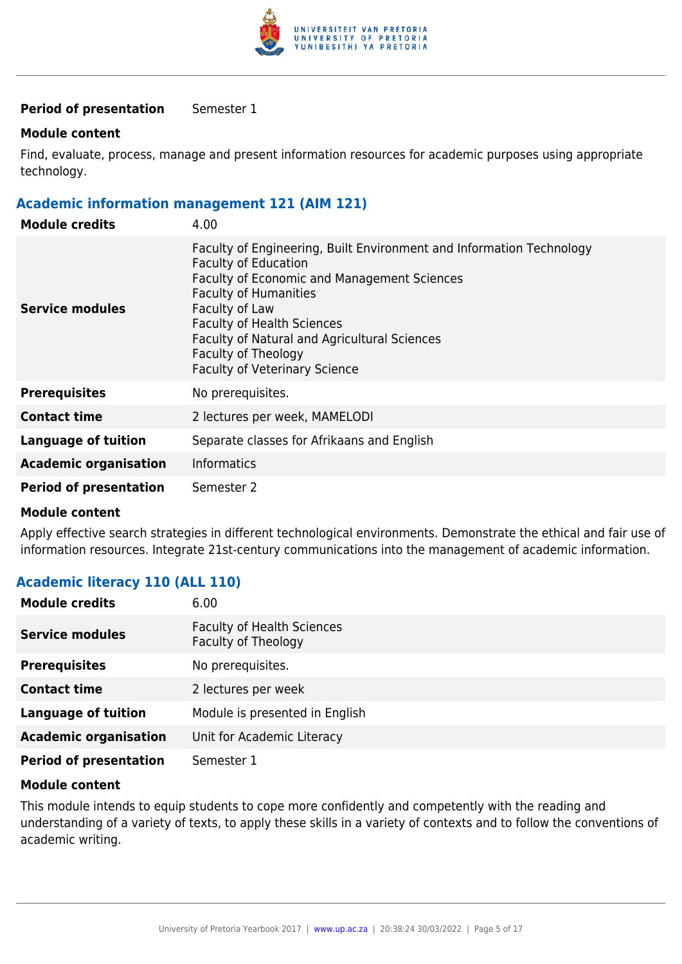

#### **Period of presentation** Semester 1

#### **Module content**

Find, evaluate, process, manage and present information resources for academic purposes using appropriate technology.

#### **Academic information management 121 (AIM 121)**

| <b>Module credits</b>         | 4.00                                                                                                                                                                                                                                                                                                                                                            |
|-------------------------------|-----------------------------------------------------------------------------------------------------------------------------------------------------------------------------------------------------------------------------------------------------------------------------------------------------------------------------------------------------------------|
| Service modules               | Faculty of Engineering, Built Environment and Information Technology<br><b>Faculty of Education</b><br><b>Faculty of Economic and Management Sciences</b><br><b>Faculty of Humanities</b><br>Faculty of Law<br><b>Faculty of Health Sciences</b><br>Faculty of Natural and Agricultural Sciences<br>Faculty of Theology<br><b>Faculty of Veterinary Science</b> |
| <b>Prerequisites</b>          | No prerequisites.                                                                                                                                                                                                                                                                                                                                               |
| <b>Contact time</b>           | 2 lectures per week, MAMELODI                                                                                                                                                                                                                                                                                                                                   |
| <b>Language of tuition</b>    | Separate classes for Afrikaans and English                                                                                                                                                                                                                                                                                                                      |
| <b>Academic organisation</b>  | <b>Informatics</b>                                                                                                                                                                                                                                                                                                                                              |
| <b>Period of presentation</b> | Semester 2                                                                                                                                                                                                                                                                                                                                                      |

#### **Module content**

Apply effective search strategies in different technological environments. Demonstrate the ethical and fair use of information resources. Integrate 21st-century communications into the management of academic information.

#### **Academic literacy 110 (ALL 110)**

| <b>Module credits</b>         | 6.00                                                     |
|-------------------------------|----------------------------------------------------------|
| <b>Service modules</b>        | <b>Faculty of Health Sciences</b><br>Faculty of Theology |
| <b>Prerequisites</b>          | No prerequisites.                                        |
| <b>Contact time</b>           | 2 lectures per week                                      |
| <b>Language of tuition</b>    | Module is presented in English                           |
| <b>Academic organisation</b>  | Unit for Academic Literacy                               |
| <b>Period of presentation</b> | Semester 1                                               |

#### **Module content**

This module intends to equip students to cope more confidently and competently with the reading and understanding of a variety of texts, to apply these skills in a variety of contexts and to follow the conventions of academic writing.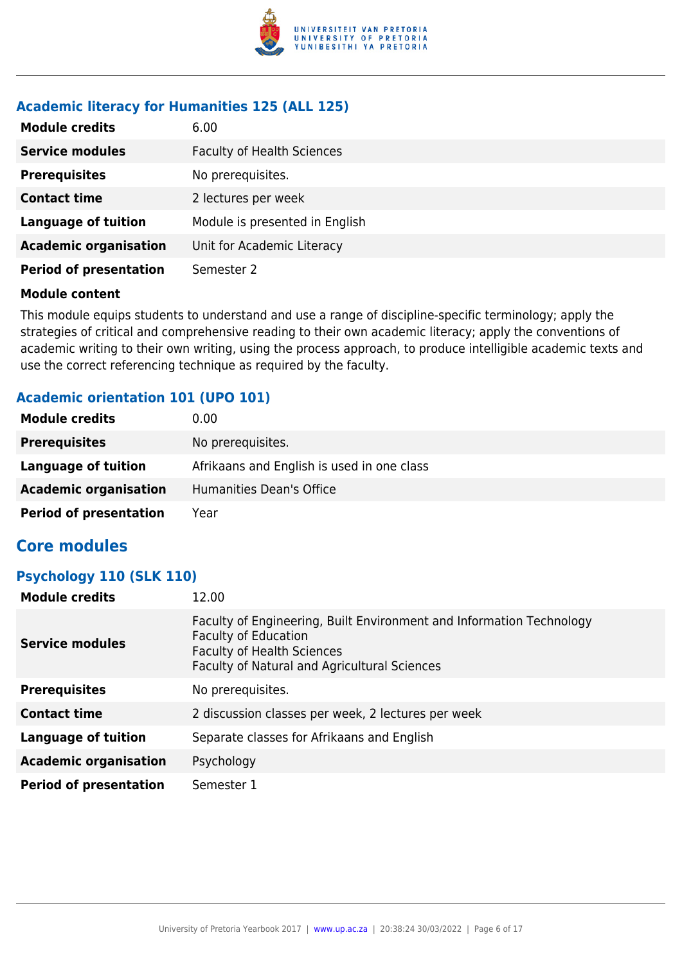

#### **Academic literacy for Humanities 125 (ALL 125)**

| <b>Module credits</b>         | 6.00                              |
|-------------------------------|-----------------------------------|
| <b>Service modules</b>        | <b>Faculty of Health Sciences</b> |
| <b>Prerequisites</b>          | No prerequisites.                 |
| <b>Contact time</b>           | 2 lectures per week               |
| <b>Language of tuition</b>    | Module is presented in English    |
| <b>Academic organisation</b>  | Unit for Academic Literacy        |
| <b>Period of presentation</b> | Semester 2                        |

#### **Module content**

This module equips students to understand and use a range of discipline-specific terminology; apply the strategies of critical and comprehensive reading to their own academic literacy; apply the conventions of academic writing to their own writing, using the process approach, to produce intelligible academic texts and use the correct referencing technique as required by the faculty.

#### **Academic orientation 101 (UPO 101)**

| <b>Module credits</b>         | 0.00                                       |
|-------------------------------|--------------------------------------------|
| <b>Prerequisites</b>          | No prerequisites.                          |
| Language of tuition           | Afrikaans and English is used in one class |
| <b>Academic organisation</b>  | Humanities Dean's Office                   |
| <b>Period of presentation</b> | Year                                       |

### **Core modules**

#### **Psychology 110 (SLK 110)**

| <b>Module credits</b>         | 12.00                                                                                                                                                                                    |
|-------------------------------|------------------------------------------------------------------------------------------------------------------------------------------------------------------------------------------|
| <b>Service modules</b>        | Faculty of Engineering, Built Environment and Information Technology<br><b>Faculty of Education</b><br><b>Faculty of Health Sciences</b><br>Faculty of Natural and Agricultural Sciences |
| <b>Prerequisites</b>          | No prerequisites.                                                                                                                                                                        |
| <b>Contact time</b>           | 2 discussion classes per week, 2 lectures per week                                                                                                                                       |
| <b>Language of tuition</b>    | Separate classes for Afrikaans and English                                                                                                                                               |
| <b>Academic organisation</b>  | Psychology                                                                                                                                                                               |
| <b>Period of presentation</b> | Semester 1                                                                                                                                                                               |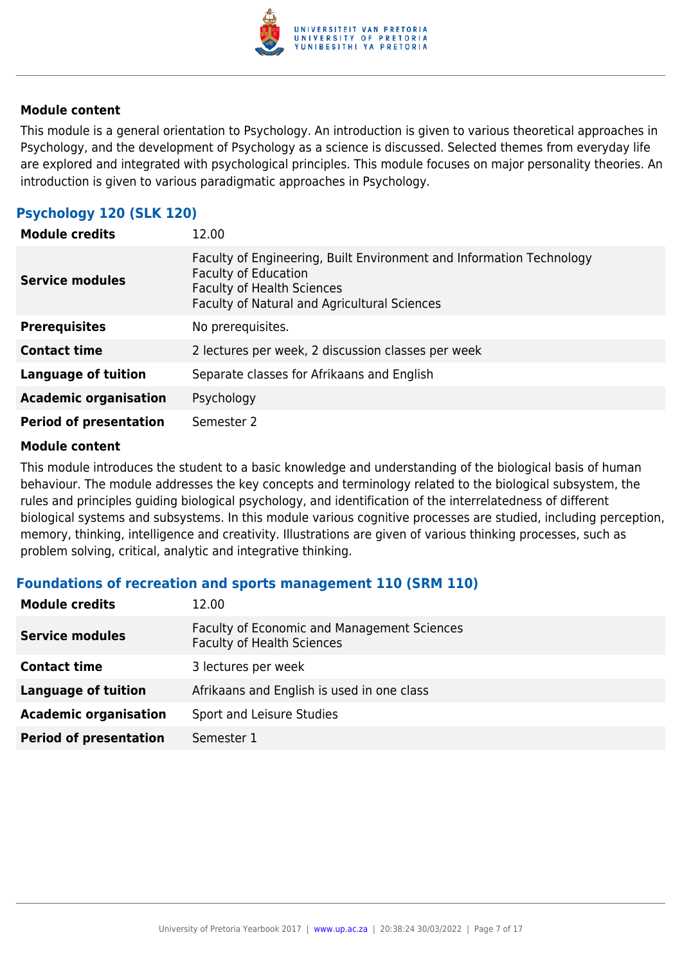

This module is a general orientation to Psychology. An introduction is given to various theoretical approaches in Psychology, and the development of Psychology as a science is discussed. Selected themes from everyday life are explored and integrated with psychological principles. This module focuses on major personality theories. An introduction is given to various paradigmatic approaches in Psychology.

### **Psychology 120 (SLK 120)**

| <b>Module credits</b>         | 12.00                                                                                                                                                                                    |
|-------------------------------|------------------------------------------------------------------------------------------------------------------------------------------------------------------------------------------|
| <b>Service modules</b>        | Faculty of Engineering, Built Environment and Information Technology<br><b>Faculty of Education</b><br><b>Faculty of Health Sciences</b><br>Faculty of Natural and Agricultural Sciences |
| <b>Prerequisites</b>          | No prerequisites.                                                                                                                                                                        |
| <b>Contact time</b>           | 2 lectures per week, 2 discussion classes per week                                                                                                                                       |
| <b>Language of tuition</b>    | Separate classes for Afrikaans and English                                                                                                                                               |
| <b>Academic organisation</b>  | Psychology                                                                                                                                                                               |
| <b>Period of presentation</b> | Semester 2                                                                                                                                                                               |

#### **Module content**

This module introduces the student to a basic knowledge and understanding of the biological basis of human behaviour. The module addresses the key concepts and terminology related to the biological subsystem, the rules and principles guiding biological psychology, and identification of the interrelatedness of different biological systems and subsystems. In this module various cognitive processes are studied, including perception, memory, thinking, intelligence and creativity. Illustrations are given of various thinking processes, such as problem solving, critical, analytic and integrative thinking.

#### **Foundations of recreation and sports management 110 (SRM 110)**

| <b>Module credits</b>         | 12.00                                                                            |
|-------------------------------|----------------------------------------------------------------------------------|
| <b>Service modules</b>        | Faculty of Economic and Management Sciences<br><b>Faculty of Health Sciences</b> |
| <b>Contact time</b>           | 3 lectures per week                                                              |
| <b>Language of tuition</b>    | Afrikaans and English is used in one class                                       |
| <b>Academic organisation</b>  | Sport and Leisure Studies                                                        |
| <b>Period of presentation</b> | Semester 1                                                                       |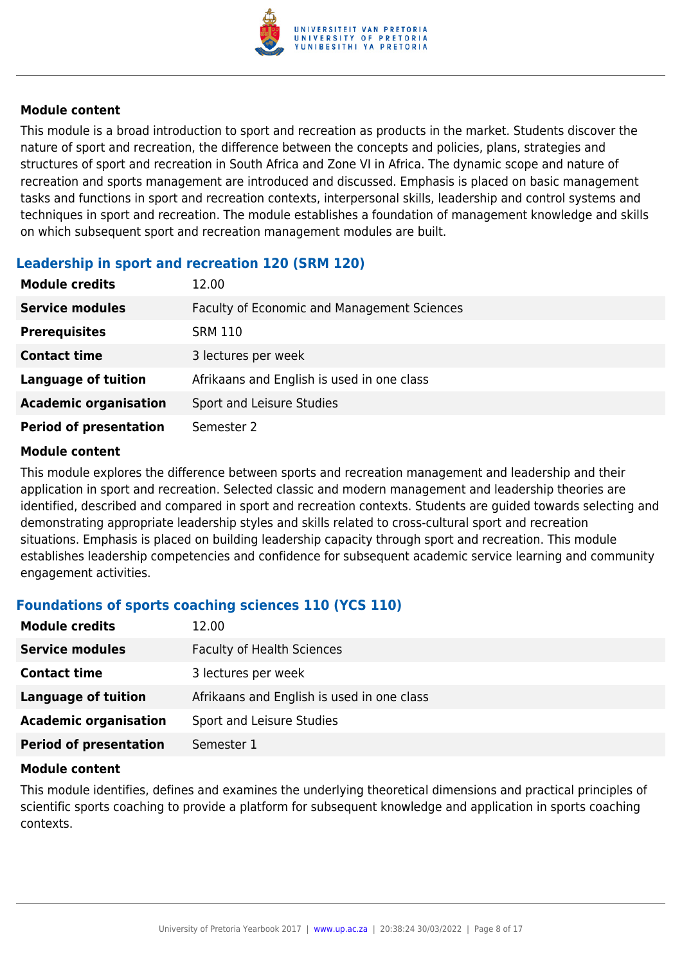

This module is a broad introduction to sport and recreation as products in the market. Students discover the nature of sport and recreation, the difference between the concepts and policies, plans, strategies and structures of sport and recreation in South Africa and Zone VI in Africa. The dynamic scope and nature of recreation and sports management are introduced and discussed. Emphasis is placed on basic management tasks and functions in sport and recreation contexts, interpersonal skills, leadership and control systems and techniques in sport and recreation. The module establishes a foundation of management knowledge and skills on which subsequent sport and recreation management modules are built.

#### **Leadership in sport and recreation 120 (SRM 120)**

| <b>Module credits</b>         | 12.00                                       |
|-------------------------------|---------------------------------------------|
| <b>Service modules</b>        | Faculty of Economic and Management Sciences |
| <b>Prerequisites</b>          | <b>SRM 110</b>                              |
| <b>Contact time</b>           | 3 lectures per week                         |
| <b>Language of tuition</b>    | Afrikaans and English is used in one class  |
| <b>Academic organisation</b>  | Sport and Leisure Studies                   |
| <b>Period of presentation</b> | Semester 2                                  |

#### **Module content**

This module explores the difference between sports and recreation management and leadership and their application in sport and recreation. Selected classic and modern management and leadership theories are identified, described and compared in sport and recreation contexts. Students are guided towards selecting and demonstrating appropriate leadership styles and skills related to cross-cultural sport and recreation situations. Emphasis is placed on building leadership capacity through sport and recreation. This module establishes leadership competencies and confidence for subsequent academic service learning and community engagement activities.

#### **Foundations of sports coaching sciences 110 (YCS 110)**

| <b>Module credits</b>         | 12.00                                      |  |
|-------------------------------|--------------------------------------------|--|
| <b>Service modules</b>        | <b>Faculty of Health Sciences</b>          |  |
| <b>Contact time</b>           | 3 lectures per week                        |  |
| Language of tuition           | Afrikaans and English is used in one class |  |
| <b>Academic organisation</b>  | Sport and Leisure Studies                  |  |
| <b>Period of presentation</b> | Semester 1                                 |  |

#### **Module content**

This module identifies, defines and examines the underlying theoretical dimensions and practical principles of scientific sports coaching to provide a platform for subsequent knowledge and application in sports coaching contexts.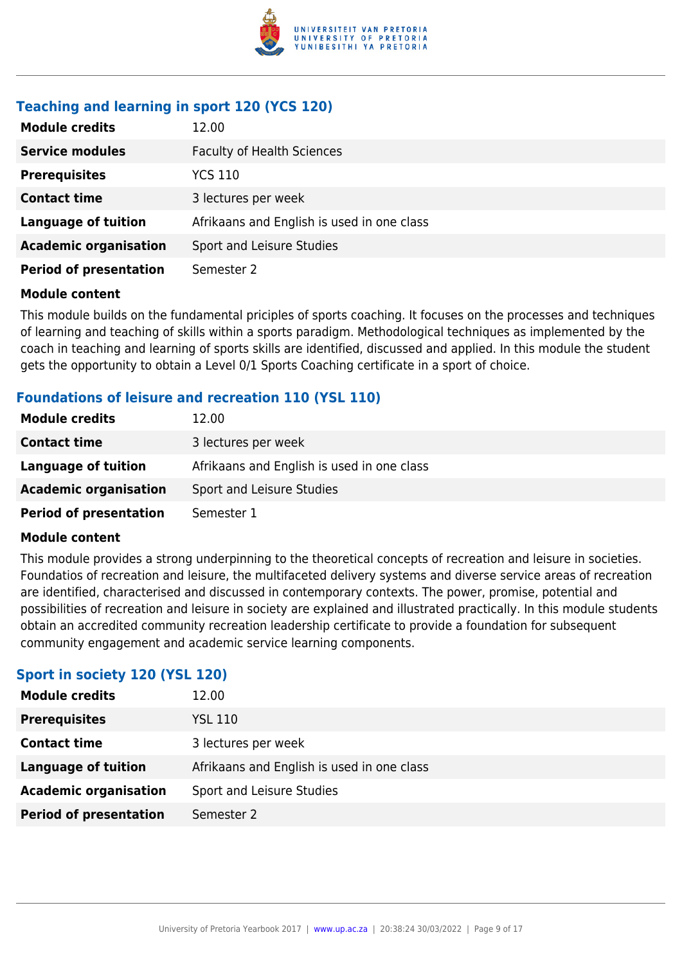

### **Teaching and learning in sport 120 (YCS 120)**

| <b>Module credits</b>         | 12.00                                      |  |
|-------------------------------|--------------------------------------------|--|
| <b>Service modules</b>        | <b>Faculty of Health Sciences</b>          |  |
| <b>Prerequisites</b>          | YCS 110                                    |  |
| <b>Contact time</b>           | 3 lectures per week                        |  |
| <b>Language of tuition</b>    | Afrikaans and English is used in one class |  |
| <b>Academic organisation</b>  | Sport and Leisure Studies                  |  |
| <b>Period of presentation</b> | Semester 2                                 |  |

#### **Module content**

This module builds on the fundamental priciples of sports coaching. It focuses on the processes and techniques of learning and teaching of skills within a sports paradigm. Methodological techniques as implemented by the coach in teaching and learning of sports skills are identified, discussed and applied. In this module the student gets the opportunity to obtain a Level 0/1 Sports Coaching certificate in a sport of choice.

#### **Foundations of leisure and recreation 110 (YSL 110)**

| <b>Module credits</b>         | 12.00                                      |  |
|-------------------------------|--------------------------------------------|--|
| <b>Contact time</b>           | 3 lectures per week                        |  |
| Language of tuition           | Afrikaans and English is used in one class |  |
| <b>Academic organisation</b>  | Sport and Leisure Studies                  |  |
| <b>Period of presentation</b> | Semester 1                                 |  |

#### **Module content**

This module provides a strong underpinning to the theoretical concepts of recreation and leisure in societies. Foundatios of recreation and leisure, the multifaceted delivery systems and diverse service areas of recreation are identified, characterised and discussed in contemporary contexts. The power, promise, potential and possibilities of recreation and leisure in society are explained and illustrated practically. In this module students obtain an accredited community recreation leadership certificate to provide a foundation for subsequent community engagement and academic service learning components.

#### **Sport in society 120 (YSL 120)**

| <b>Module credits</b>         | 12.00                                      |  |
|-------------------------------|--------------------------------------------|--|
| <b>Prerequisites</b>          | <b>YSL 110</b>                             |  |
| <b>Contact time</b>           | 3 lectures per week                        |  |
| Language of tuition           | Afrikaans and English is used in one class |  |
| <b>Academic organisation</b>  | Sport and Leisure Studies                  |  |
| <b>Period of presentation</b> | Semester 2                                 |  |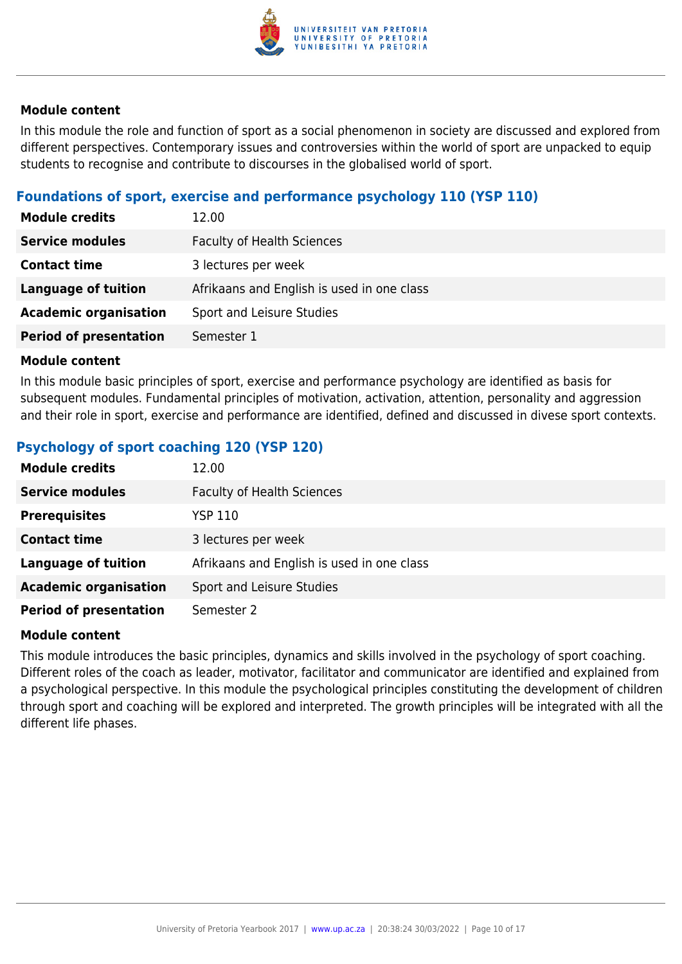

In this module the role and function of sport as a social phenomenon in society are discussed and explored from different perspectives. Contemporary issues and controversies within the world of sport are unpacked to equip students to recognise and contribute to discourses in the globalised world of sport.

#### **Foundations of sport, exercise and performance psychology 110 (YSP 110)**

| <b>Module credits</b>         | 12.00                                      |  |
|-------------------------------|--------------------------------------------|--|
| <b>Service modules</b>        | <b>Faculty of Health Sciences</b>          |  |
| <b>Contact time</b>           | 3 lectures per week                        |  |
| Language of tuition           | Afrikaans and English is used in one class |  |
| <b>Academic organisation</b>  | Sport and Leisure Studies                  |  |
| <b>Period of presentation</b> | Semester 1                                 |  |

#### **Module content**

In this module basic principles of sport, exercise and performance psychology are identified as basis for subsequent modules. Fundamental principles of motivation, activation, attention, personality and aggression and their role in sport, exercise and performance are identified, defined and discussed in divese sport contexts.

#### **Psychology of sport coaching 120 (YSP 120)**

| <b>Module credits</b>         | 12.00                                      |
|-------------------------------|--------------------------------------------|
| <b>Service modules</b>        | <b>Faculty of Health Sciences</b>          |
| <b>Prerequisites</b>          | YSP 110                                    |
| <b>Contact time</b>           | 3 lectures per week                        |
| <b>Language of tuition</b>    | Afrikaans and English is used in one class |
| <b>Academic organisation</b>  | Sport and Leisure Studies                  |
| <b>Period of presentation</b> | Semester 2                                 |

#### **Module content**

This module introduces the basic principles, dynamics and skills involved in the psychology of sport coaching. Different roles of the coach as leader, motivator, facilitator and communicator are identified and explained from a psychological perspective. In this module the psychological principles constituting the development of children through sport and coaching will be explored and interpreted. The growth principles will be integrated with all the different life phases.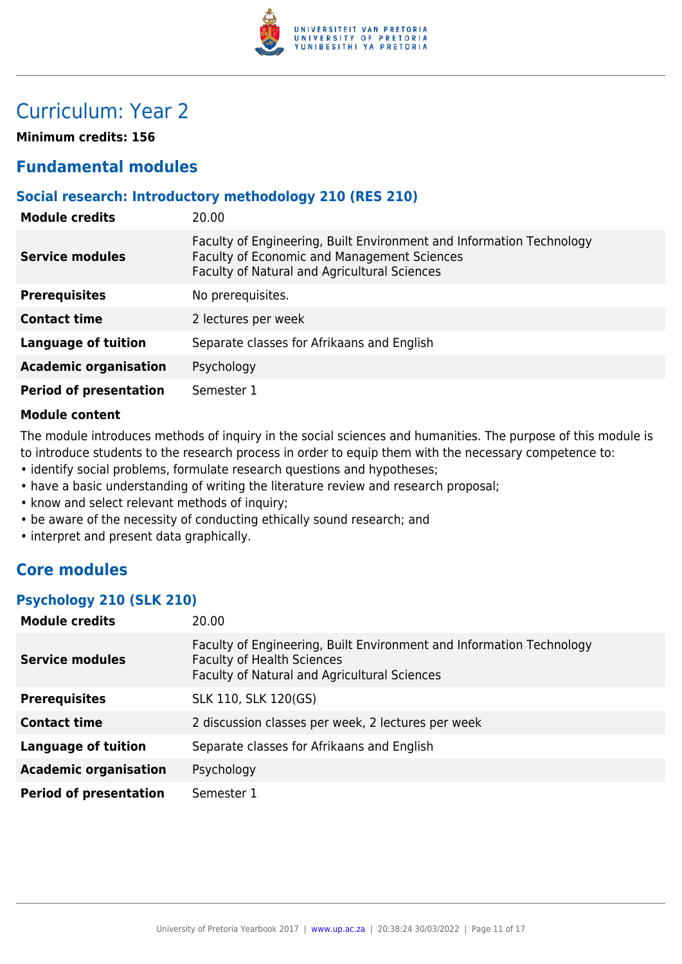

## Curriculum: Year 2

**Minimum credits: 156**

## **Fundamental modules**

#### **Social research: Introductory methodology 210 (RES 210)**

| <b>Module credits</b>         | 20.00                                                                                                                                                               |  |
|-------------------------------|---------------------------------------------------------------------------------------------------------------------------------------------------------------------|--|
| <b>Service modules</b>        | Faculty of Engineering, Built Environment and Information Technology<br>Faculty of Economic and Management Sciences<br>Faculty of Natural and Agricultural Sciences |  |
| <b>Prerequisites</b>          | No prerequisites.                                                                                                                                                   |  |
| <b>Contact time</b>           | 2 lectures per week                                                                                                                                                 |  |
| <b>Language of tuition</b>    | Separate classes for Afrikaans and English                                                                                                                          |  |
| <b>Academic organisation</b>  | Psychology                                                                                                                                                          |  |
| <b>Period of presentation</b> | Semester 1                                                                                                                                                          |  |

#### **Module content**

The module introduces methods of inquiry in the social sciences and humanities. The purpose of this module is to introduce students to the research process in order to equip them with the necessary competence to:

- identify social problems, formulate research questions and hypotheses;
- have a basic understanding of writing the literature review and research proposal;
- know and select relevant methods of inquiry;
- be aware of the necessity of conducting ethically sound research; and
- interpret and present data graphically.

### **Core modules**

#### **Psychology 210 (SLK 210)**

| <b>Module credits</b>         | 20.00                                                                                                                                                     |  |
|-------------------------------|-----------------------------------------------------------------------------------------------------------------------------------------------------------|--|
| <b>Service modules</b>        | Faculty of Engineering, Built Environment and Information Technology<br><b>Faculty of Health Sciences</b><br>Faculty of Natural and Agricultural Sciences |  |
| <b>Prerequisites</b>          | SLK 110, SLK 120(GS)                                                                                                                                      |  |
| <b>Contact time</b>           | 2 discussion classes per week, 2 lectures per week                                                                                                        |  |
| <b>Language of tuition</b>    | Separate classes for Afrikaans and English                                                                                                                |  |
| <b>Academic organisation</b>  | Psychology                                                                                                                                                |  |
| <b>Period of presentation</b> | Semester 1                                                                                                                                                |  |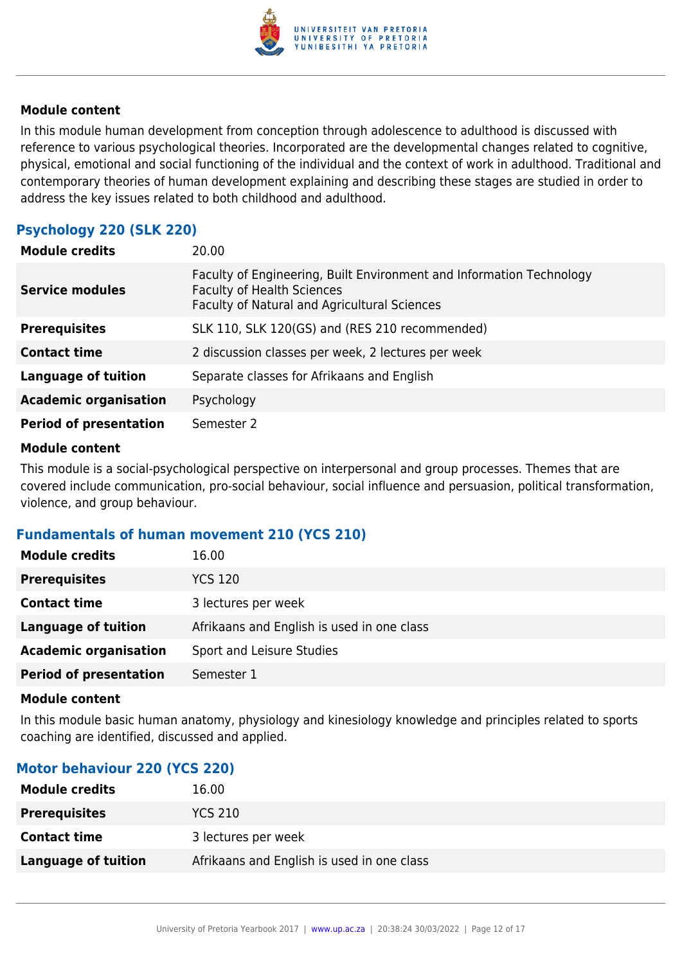

In this module human development from conception through adolescence to adulthood is discussed with reference to various psychological theories. Incorporated are the developmental changes related to cognitive, physical, emotional and social functioning of the individual and the context of work in adulthood. Traditional and contemporary theories of human development explaining and describing these stages are studied in order to address the key issues related to both childhood and adulthood.

#### **Psychology 220 (SLK 220)**

| <b>Module credits</b>         | 20.00                                                                                                                                                            |  |
|-------------------------------|------------------------------------------------------------------------------------------------------------------------------------------------------------------|--|
| <b>Service modules</b>        | Faculty of Engineering, Built Environment and Information Technology<br><b>Faculty of Health Sciences</b><br><b>Faculty of Natural and Agricultural Sciences</b> |  |
| <b>Prerequisites</b>          | SLK 110, SLK 120(GS) and (RES 210 recommended)                                                                                                                   |  |
| <b>Contact time</b>           | 2 discussion classes per week, 2 lectures per week                                                                                                               |  |
| <b>Language of tuition</b>    | Separate classes for Afrikaans and English                                                                                                                       |  |
| <b>Academic organisation</b>  | Psychology                                                                                                                                                       |  |
| <b>Period of presentation</b> | Semester 2                                                                                                                                                       |  |

#### **Module content**

This module is a social-psychological perspective on interpersonal and group processes. Themes that are covered include communication, pro-social behaviour, social influence and persuasion, political transformation, violence, and group behaviour.

#### **Fundamentals of human movement 210 (YCS 210)**

| <b>Module credits</b>         | 16.00                                      |  |
|-------------------------------|--------------------------------------------|--|
| <b>Prerequisites</b>          | <b>YCS 120</b>                             |  |
| <b>Contact time</b>           | 3 lectures per week                        |  |
| <b>Language of tuition</b>    | Afrikaans and English is used in one class |  |
| <b>Academic organisation</b>  | Sport and Leisure Studies                  |  |
| <b>Period of presentation</b> | Semester 1                                 |  |

#### **Module content**

In this module basic human anatomy, physiology and kinesiology knowledge and principles related to sports coaching are identified, discussed and applied.

#### **Motor behaviour 220 (YCS 220)**

| <b>Module credits</b>      | 16.00                                      |
|----------------------------|--------------------------------------------|
| <b>Prerequisites</b>       | <b>YCS 210</b>                             |
| <b>Contact time</b>        | 3 lectures per week                        |
| <b>Language of tuition</b> | Afrikaans and English is used in one class |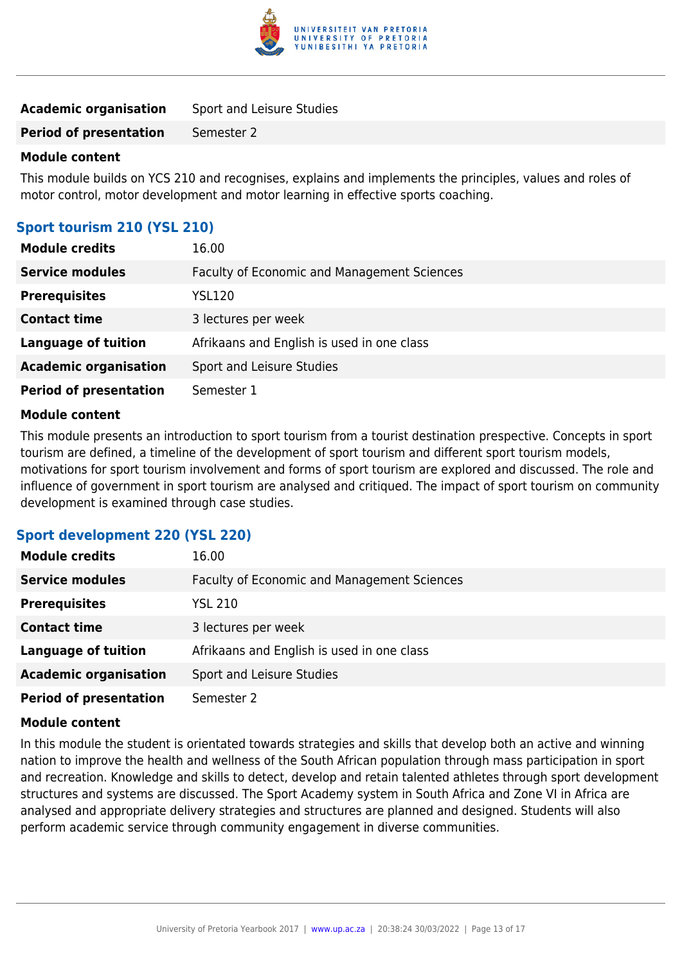

| <b>Academic organisation</b> | Sport and Leisure Studies |
|------------------------------|---------------------------|
|------------------------------|---------------------------|

**Period of presentation** Semester 2

#### **Module content**

This module builds on YCS 210 and recognises, explains and implements the principles, values and roles of motor control, motor development and motor learning in effective sports coaching.

#### **Sport tourism 210 (YSL 210)**

| <b>Module credits</b>         | 16.00                                       |
|-------------------------------|---------------------------------------------|
| <b>Service modules</b>        | Faculty of Economic and Management Sciences |
| <b>Prerequisites</b>          | <b>YSL120</b>                               |
| <b>Contact time</b>           | 3 lectures per week                         |
| <b>Language of tuition</b>    | Afrikaans and English is used in one class  |
| <b>Academic organisation</b>  | Sport and Leisure Studies                   |
| <b>Period of presentation</b> | Semester 1                                  |

#### **Module content**

This module presents an introduction to sport tourism from a tourist destination prespective. Concepts in sport tourism are defined, a timeline of the development of sport tourism and different sport tourism models, motivations for sport tourism involvement and forms of sport tourism are explored and discussed. The role and influence of government in sport tourism are analysed and critiqued. The impact of sport tourism on community development is examined through case studies.

#### **Sport development 220 (YSL 220)**

| <b>Module credits</b>         | 16.00                                       |
|-------------------------------|---------------------------------------------|
| <b>Service modules</b>        | Faculty of Economic and Management Sciences |
| <b>Prerequisites</b>          | <b>YSL 210</b>                              |
| <b>Contact time</b>           | 3 lectures per week                         |
| <b>Language of tuition</b>    | Afrikaans and English is used in one class  |
| <b>Academic organisation</b>  | Sport and Leisure Studies                   |
| <b>Period of presentation</b> | Semester 2                                  |

#### **Module content**

In this module the student is orientated towards strategies and skills that develop both an active and winning nation to improve the health and wellness of the South African population through mass participation in sport and recreation. Knowledge and skills to detect, develop and retain talented athletes through sport development structures and systems are discussed. The Sport Academy system in South Africa and Zone VI in Africa are analysed and appropriate delivery strategies and structures are planned and designed. Students will also perform academic service through community engagement in diverse communities.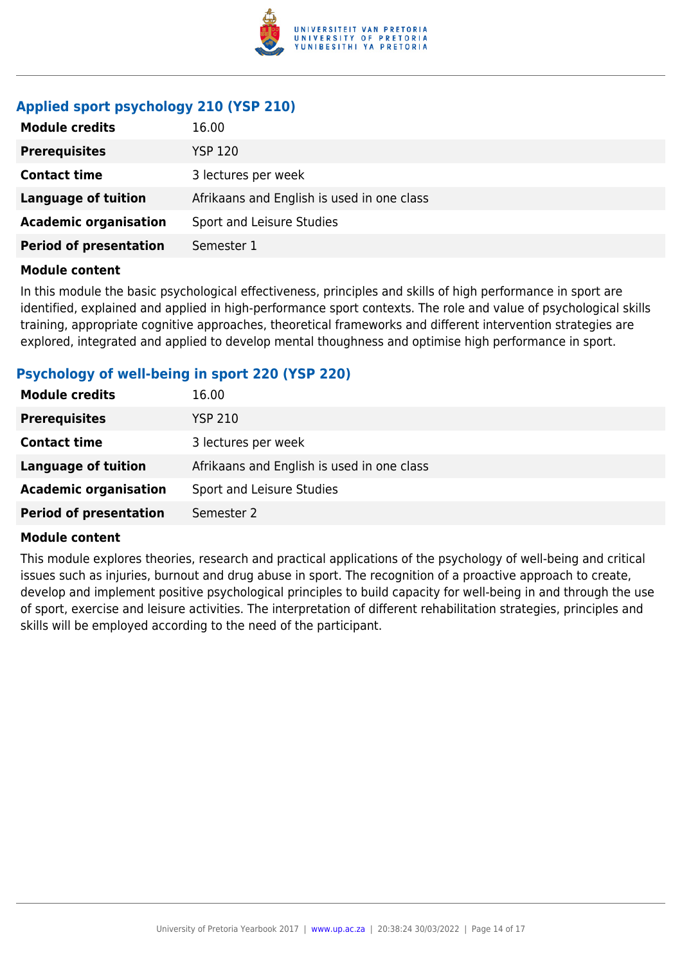

## **Applied sport psychology 210 (YSP 210)**

| <b>Module credits</b>         | 16.00                                      |
|-------------------------------|--------------------------------------------|
| <b>Prerequisites</b>          | <b>YSP 120</b>                             |
| <b>Contact time</b>           | 3 lectures per week                        |
| <b>Language of tuition</b>    | Afrikaans and English is used in one class |
| <b>Academic organisation</b>  | Sport and Leisure Studies                  |
| <b>Period of presentation</b> | Semester 1                                 |

#### **Module content**

In this module the basic psychological effectiveness, principles and skills of high performance in sport are identified, explained and applied in high-performance sport contexts. The role and value of psychological skills training, appropriate cognitive approaches, theoretical frameworks and different intervention strategies are explored, integrated and applied to develop mental thoughness and optimise high performance in sport.

#### **Psychology of well-being in sport 220 (YSP 220)**

| <b>Module credits</b>         | 16.00                                      |
|-------------------------------|--------------------------------------------|
| <b>Prerequisites</b>          | <b>YSP 210</b>                             |
| <b>Contact time</b>           | 3 lectures per week                        |
| Language of tuition           | Afrikaans and English is used in one class |
| <b>Academic organisation</b>  | Sport and Leisure Studies                  |
| <b>Period of presentation</b> | Semester 2                                 |

#### **Module content**

This module explores theories, research and practical applications of the psychology of well-being and critical issues such as injuries, burnout and drug abuse in sport. The recognition of a proactive approach to create, develop and implement positive psychological principles to build capacity for well-being in and through the use of sport, exercise and leisure activities. The interpretation of different rehabilitation strategies, principles and skills will be employed according to the need of the participant.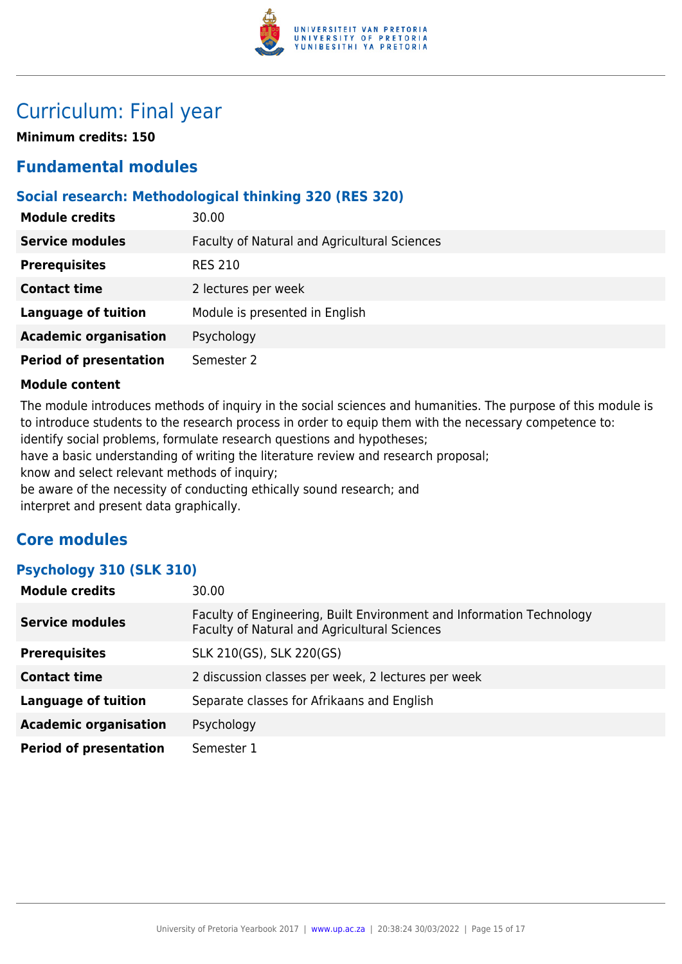

## Curriculum: Final year

**Minimum credits: 150**

## **Fundamental modules**

#### **Social research: Methodological thinking 320 (RES 320)**

| <b>Module credits</b>         | 30.00                                        |
|-------------------------------|----------------------------------------------|
| <b>Service modules</b>        | Faculty of Natural and Agricultural Sciences |
| <b>Prerequisites</b>          | <b>RES 210</b>                               |
| <b>Contact time</b>           | 2 lectures per week                          |
| <b>Language of tuition</b>    | Module is presented in English               |
| <b>Academic organisation</b>  | Psychology                                   |
| <b>Period of presentation</b> | Semester 2                                   |

#### **Module content**

The module introduces methods of inquiry in the social sciences and humanities. The purpose of this module is to introduce students to the research process in order to equip them with the necessary competence to: identify social problems, formulate research questions and hypotheses;

have a basic understanding of writing the literature review and research proposal;

know and select relevant methods of inquiry;

be aware of the necessity of conducting ethically sound research; and

interpret and present data graphically.

### **Core modules**

#### **Psychology 310 (SLK 310)**

| <b>Module credits</b>         | 30.00                                                                                                                |
|-------------------------------|----------------------------------------------------------------------------------------------------------------------|
| <b>Service modules</b>        | Faculty of Engineering, Built Environment and Information Technology<br>Faculty of Natural and Agricultural Sciences |
| <b>Prerequisites</b>          | SLK 210(GS), SLK 220(GS)                                                                                             |
| <b>Contact time</b>           | 2 discussion classes per week, 2 lectures per week                                                                   |
| <b>Language of tuition</b>    | Separate classes for Afrikaans and English                                                                           |
| <b>Academic organisation</b>  | Psychology                                                                                                           |
| <b>Period of presentation</b> | Semester 1                                                                                                           |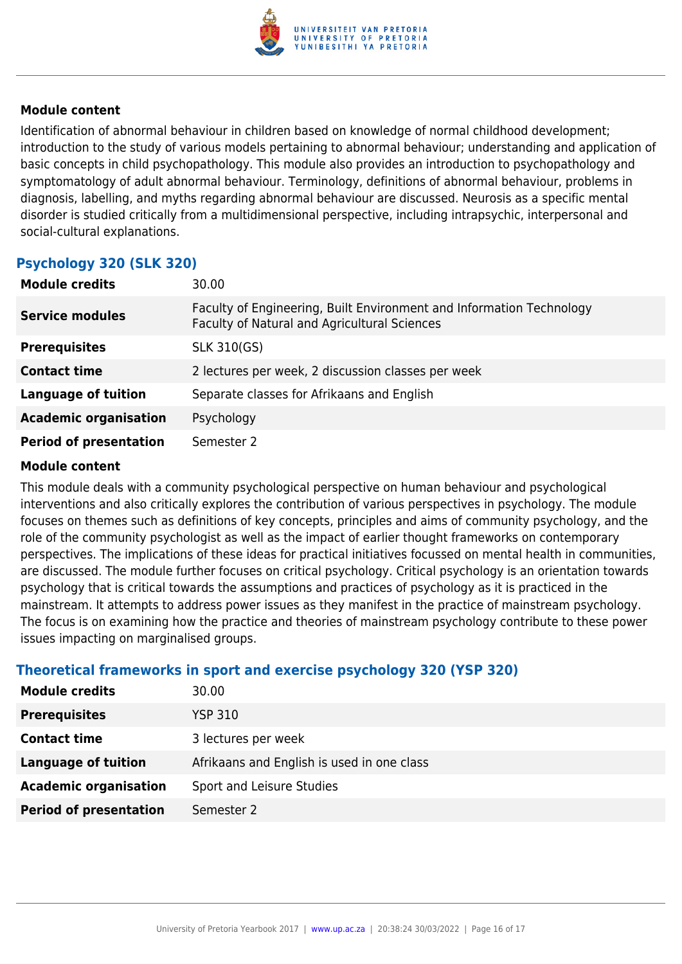

Identification of abnormal behaviour in children based on knowledge of normal childhood development; introduction to the study of various models pertaining to abnormal behaviour; understanding and application of basic concepts in child psychopathology. This module also provides an introduction to psychopathology and symptomatology of adult abnormal behaviour. Terminology, definitions of abnormal behaviour, problems in diagnosis, labelling, and myths regarding abnormal behaviour are discussed. Neurosis as a specific mental disorder is studied critically from a multidimensional perspective, including intrapsychic, interpersonal and social-cultural explanations.

### **Psychology 320 (SLK 320)**

| <b>Module credits</b>         | 30.00                                                                                                                |
|-------------------------------|----------------------------------------------------------------------------------------------------------------------|
| <b>Service modules</b>        | Faculty of Engineering, Built Environment and Information Technology<br>Faculty of Natural and Agricultural Sciences |
| <b>Prerequisites</b>          | SLK 310(GS)                                                                                                          |
| <b>Contact time</b>           | 2 lectures per week, 2 discussion classes per week                                                                   |
| <b>Language of tuition</b>    | Separate classes for Afrikaans and English                                                                           |
| <b>Academic organisation</b>  | Psychology                                                                                                           |
| <b>Period of presentation</b> | Semester 2                                                                                                           |

#### **Module content**

This module deals with a community psychological perspective on human behaviour and psychological interventions and also critically explores the contribution of various perspectives in psychology. The module focuses on themes such as definitions of key concepts, principles and aims of community psychology, and the role of the community psychologist as well as the impact of earlier thought frameworks on contemporary perspectives. The implications of these ideas for practical initiatives focussed on mental health in communities, are discussed. The module further focuses on critical psychology. Critical psychology is an orientation towards psychology that is critical towards the assumptions and practices of psychology as it is practiced in the mainstream. It attempts to address power issues as they manifest in the practice of mainstream psychology. The focus is on examining how the practice and theories of mainstream psychology contribute to these power issues impacting on marginalised groups.

#### **Theoretical frameworks in sport and exercise psychology 320 (YSP 320)**

| <b>Module credits</b>         | 30.00                                      |
|-------------------------------|--------------------------------------------|
| <b>Prerequisites</b>          | <b>YSP 310</b>                             |
| <b>Contact time</b>           | 3 lectures per week                        |
| <b>Language of tuition</b>    | Afrikaans and English is used in one class |
| <b>Academic organisation</b>  | Sport and Leisure Studies                  |
| <b>Period of presentation</b> | Semester 2                                 |